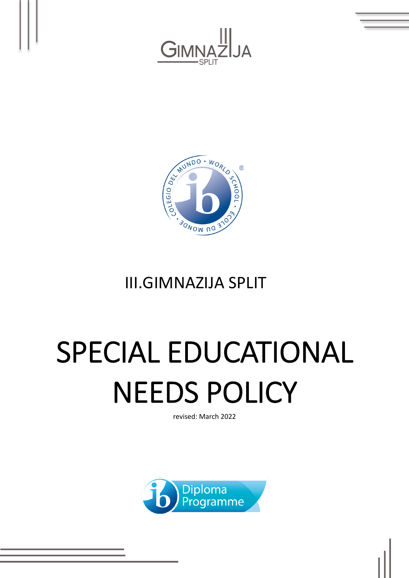



# III.GIMNAZIJA SPLIT

# SPECIAL EDUCATIONAL NEEDS POLICY

revised: March 2022

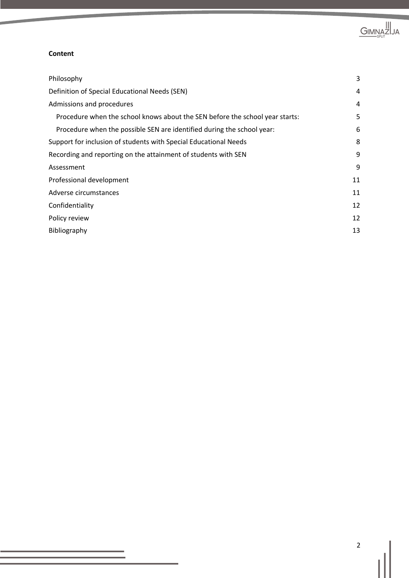

#### **Content**

| Philosophy                                                                   | 3  |
|------------------------------------------------------------------------------|----|
| Definition of Special Educational Needs (SEN)                                | 4  |
| Admissions and procedures                                                    | 4  |
| Procedure when the school knows about the SEN before the school year starts: | 5  |
| Procedure when the possible SEN are identified during the school year:       | 6  |
| Support for inclusion of students with Special Educational Needs             | 8  |
| Recording and reporting on the attainment of students with SEN               | 9  |
| Assessment                                                                   | 9  |
| Professional development                                                     | 11 |
| Adverse circumstances                                                        | 11 |
| Confidentiality                                                              | 12 |
| Policy review                                                                | 12 |
| Bibliography                                                                 | 13 |
|                                                                              |    |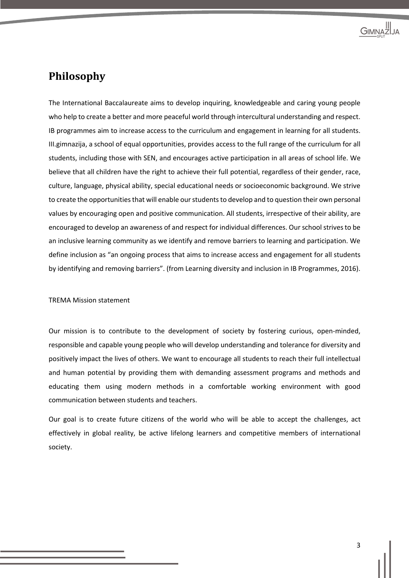

#### **Philosophy**

The International Baccalaureate aims to develop inquiring, knowledgeable and caring young people who help to create a better and more peaceful world through intercultural understanding and respect. IB programmes aim to increase access to the curriculum and engagement in learning for all students. III.gimnazija, a school of equal opportunities, provides access to the full range of the curriculum for all students, including those with SEN, and encourages active participation in all areas of school life. We believe that all children have the right to achieve their full potential, regardless of their gender, race, culture, language, physical ability, special educational needs or socioeconomic background. We strive to create the opportunities that will enable ourstudents to develop and to question their own personal values by encouraging open and positive communication. All students, irrespective of their ability, are encouraged to develop an awareness of and respect for individual differences. Our school strivesto be an inclusive learning community as we identify and remove barriers to learning and participation. We define inclusion as "an ongoing process that aims to increase access and engagement for all students by identifying and removing barriers". (from Learning diversity and inclusion in IB Programmes, 2016).

#### TREMA Mission statement

Our mission is to contribute to the development of society by fostering curious, open-minded, responsible and capable young people who will develop understanding and tolerance for diversity and positively impact the lives of others. We want to encourage all students to reach their full intellectual and human potential by providing them with demanding assessment programs and methods and educating them using modern methods in a comfortable working environment with good communication between students and teachers.

Our goal is to create future citizens of the world who will be able to accept the challenges, act effectively in global reality, be active lifelong learners and competitive members of international society.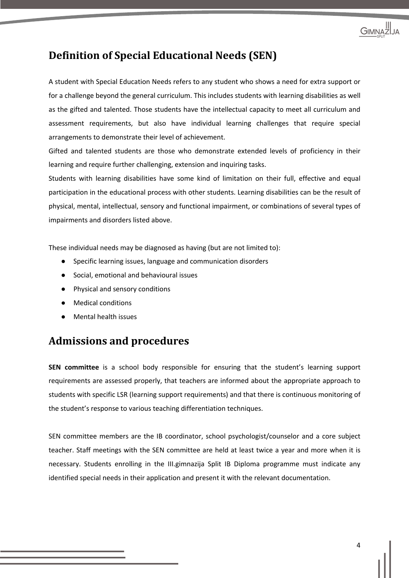

# **Definition of Special Educational Needs (SEN)**

A student with Special Education Needs refers to any student who shows a need for extra support or for a challenge beyond the general curriculum. This includes students with learning disabilities as well as the gifted and talented. Those students have the intellectual capacity to meet all curriculum and assessment requirements, but also have individual learning challenges that require special arrangements to demonstrate their level of achievement.

Gifted and talented students are those who demonstrate extended levels of proficiency in their learning and require further challenging, extension and inquiring tasks.

Students with learning disabilities have some kind of limitation on their full, effective and equal participation in the educational process with other students. Learning disabilities can be the result of physical, mental, intellectual, sensory and functional impairment, or combinations of several types of impairments and disorders listed above.

These individual needs may be diagnosed as having (but are not limited to):

- Specific learning issues, language and communication disorders
- Social, emotional and behavioural issues
- Physical and sensory conditions
- **Medical conditions**
- **Mental health issues**

#### **Admissions and procedures**

**SEN committee** is a school body responsible for ensuring that the student's learning support requirements are assessed properly, that teachers are informed about the appropriate approach to students with specific LSR (learning support requirements) and that there is continuous monitoring of the student's response to various teaching differentiation techniques.

SEN committee members are the IB coordinator, school psychologist/counselor and a core subject teacher. Staff meetings with the SEN committee are held at least twice a year and more when it is necessary. Students enrolling in the III.gimnazija Split IB Diploma programme must indicate any identified special needs in their application and present it with the relevant documentation.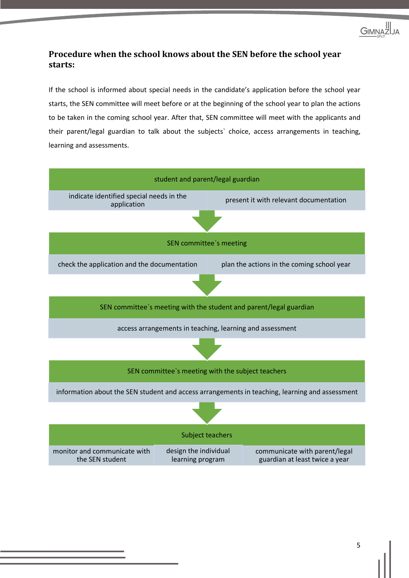

#### **Procedure when the school knows about the SEN before the school year starts:**

If the school is informed about special needs in the candidate's application before the school year starts, the SEN committee will meet before or at the beginning of the school year to plan the actions to be taken in the coming school year. After that, SEN committee will meet with the applicants and their parent/legal guardian to talk about the subjects` choice, access arrangements in teaching, learning and assessments.

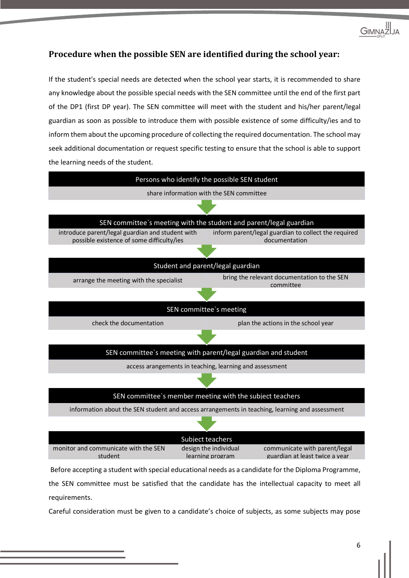

#### **Procedure when the possible SEN are identified during the school year:**

If the student's special needs are detected when the school year starts, it is recommended to share any knowledge about the possible special needs with the SEN committee until the end of the first part of the DP1 (first DP year). The SEN committee will meet with the student and his/her parent/legal guardian as soon as possible to introduce them with possible existence of some difficulty/ies and to inform them about the upcoming procedure of collecting the required documentation. The school may seek additional documentation or request specific testing to ensure that the school is able to support the learning needs of the student.



the SEN committee must be satisfied that the candidate has the intellectual capacity to meet all requirements.

Careful consideration must be given to a candidate's choice of subjects, as some subjects may pose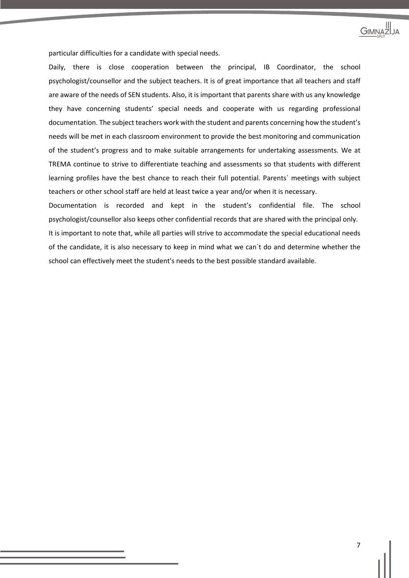

particular difficulties for a candidate with special needs.

Daily, there is close cooperation between the principal, IB Coordinator, the school psychologist/counsellor and the subject teachers. It is of great importance that all teachers and staff are aware of the needs of SEN students. Also, it is important that parents share with us any knowledge they have concerning students' special needs and cooperate with us regarding professional documentation. The subject teachers work with the student and parents concerning how the student's needs will be met in each classroom environment to provide the best monitoring and communication of the student's progress and to make suitable arrangements for undertaking assessments. We at TREMA continue to strive to differentiate teaching and assessments so that students with different learning profiles have the best chance to reach their full potential. Parents` meetings with subject teachers or other school staff are held at least twice a year and/or when it is necessary.

Documentation is recorded and kept in the student's confidential file. The school psychologist/counsellor also keeps other confidential records that are shared with the principal only. It is important to note that, while all parties will strive to accommodate the special educational needs of the candidate, it is also necessary to keep in mind what we can`t do and determine whether the school can effectively meet the student's needs to the best possible standard available.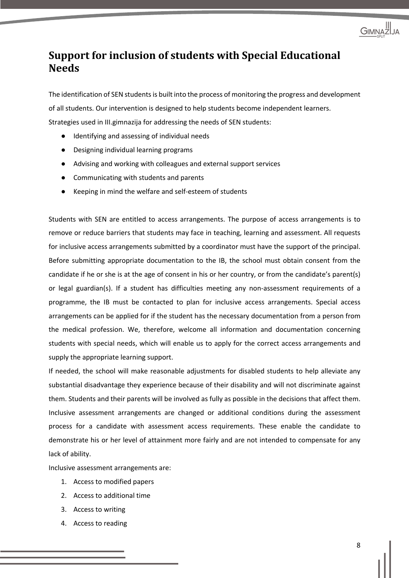

# **Support for inclusion of students with Special Educational Needs**

The identification of SEN students is built into the process of monitoring the progress and development of all students. Our intervention is designed to help students become independent learners. Strategies used in III.gimnazija for addressing the needs of SEN students:

- Identifying and assessing of individual needs
- Designing individual learning programs
- Advising and working with colleagues and external support services
- Communicating with students and parents
- Keeping in mind the welfare and self-esteem of students

Students with SEN are entitled to access arrangements. The purpose of access arrangements is to remove or reduce barriers that students may face in teaching, learning and assessment. All requests for inclusive access arrangements submitted by a coordinator must have the support of the principal. Before submitting appropriate documentation to the IB, the school must obtain consent from the candidate if he or she is at the age of consent in his or her country, or from the candidate's parent(s) or legal guardian(s). If a student has difficulties meeting any non-assessment requirements of a programme, the IB must be contacted to plan for inclusive access arrangements. Special access arrangements can be applied for if the student has the necessary documentation from a person from the medical profession. We, therefore, welcome all information and documentation concerning students with special needs, which will enable us to apply for the correct access arrangements and supply the appropriate learning support.

If needed, the school will make reasonable adjustments for disabled students to help alleviate any substantial disadvantage they experience because of their disability and will not discriminate against them. Students and their parents will be involved as fully as possible in the decisions that affect them. Inclusive assessment arrangements are changed or additional conditions during the assessment process for a candidate with assessment access requirements. These enable the candidate to demonstrate his or her level of attainment more fairly and are not intended to compensate for any lack of ability.

Inclusive assessment arrangements are:

- 1. Access to modified papers
- 2. Access to additional time
- 3. Access to writing
- 4. Access to reading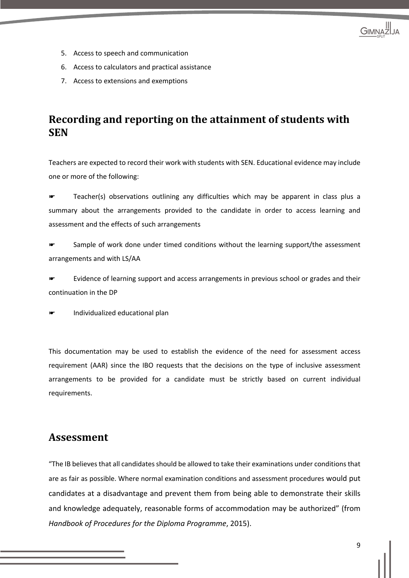

- 5. Access to speech and communication
- 6. Access to calculators and practical assistance
- 7. Access to extensions and exemptions

## **Recording and reporting on the attainment of students with SEN**

Teachers are expected to record their work with students with SEN. Educational evidence may include one or more of the following:

Teacher(s) observations outlining any difficulties which may be apparent in class plus a summary about the arrangements provided to the candidate in order to access learning and assessment and the effects of such arrangements

Sample of work done under timed conditions without the learning support/the assessment arrangements and with LS/AA

Evidence of learning support and access arrangements in previous school or grades and their continuation in the DP

☛ Individualized educational plan

This documentation may be used to establish the evidence of the need for assessment access requirement (AAR) since the IBO requests that the decisions on the type of inclusive assessment arrangements to be provided for a candidate must be strictly based on current individual requirements.

#### **Assessment**

"The IB believes that all candidates should be allowed to take their examinations under conditions that are as fair as possible. Where normal examination conditions and assessment procedures would put candidates at a disadvantage and prevent them from being able to demonstrate their skills and knowledge adequately, reasonable forms of accommodation may be authorized" (from *Handbook of Procedures for the Diploma Programme*, 2015).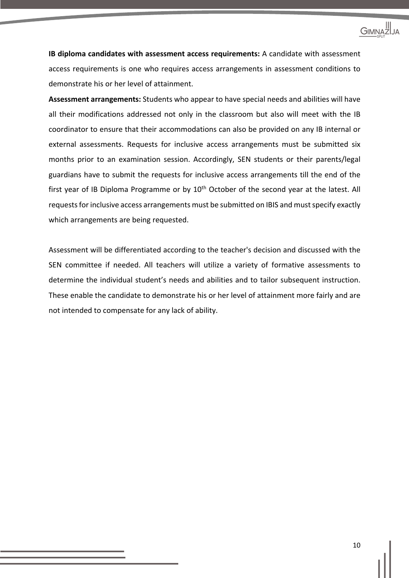

**IB diploma candidates with assessment access requirements:** A candidate with assessment access requirements is one who requires access arrangements in assessment conditions to demonstrate his or her level of attainment.

**Assessment arrangements:** Students who appear to have special needs and abilities will have all their modifications addressed not only in the classroom but also will meet with the IB coordinator to ensure that their accommodations can also be provided on any IB internal or external assessments. Requests for inclusive access arrangements must be submitted six months prior to an examination session. Accordingly, SEN students or their parents/legal guardians have to submit the requests for inclusive access arrangements till the end of the first year of IB Diploma Programme or by 10<sup>th</sup> October of the second year at the latest. All requests for inclusive access arrangements must be submitted on IBIS and must specify exactly which arrangements are being requested.

Assessment will be differentiated according to the teacher's decision and discussed with the SEN committee if needed. All teachers will utilize a variety of formative assessments to determine the individual student's needs and abilities and to tailor subsequent instruction. These enable the candidate to demonstrate his or her level of attainment more fairly and are not intended to compensate for any lack of ability.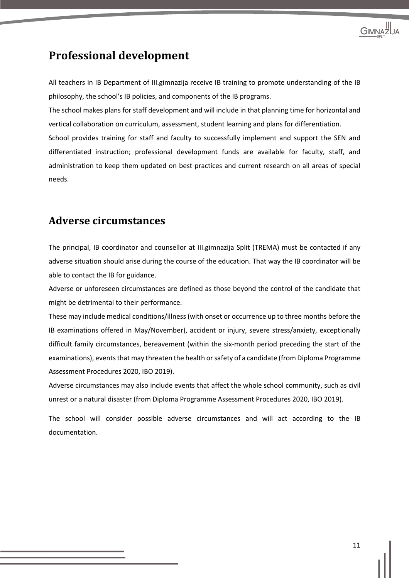

## **Professional development**

All teachers in IB Department of III.gimnazija receive IB training to promote understanding of the IB philosophy, the school's IB policies, and components of the IB programs.

The school makes plans for staff development and will include in that planning time for horizontal and vertical collaboration on curriculum, assessment, student learning and plans for differentiation.

School provides training for staff and faculty to successfully implement and support the SEN and differentiated instruction; professional development funds are available for faculty, staff, and administration to keep them updated on best practices and current research on all areas of special needs.

#### **Adverse circumstances**

The principal, IB coordinator and counsellor at III.gimnazija Split (TREMA) must be contacted if any adverse situation should arise during the course of the education. That way the IB coordinator will be able to contact the IB for guidance.

Adverse or unforeseen circumstances are defined as those beyond the control of the candidate that might be detrimental to their performance.

These may include medical conditions/illness (with onset or occurrence up to three months before the IB examinations offered in May/November), accident or injury, severe stress/anxiety, exceptionally difficult family circumstances, bereavement (within the six-month period preceding the start of the examinations), events that may threaten the health or safety of a candidate (from Diploma Programme Assessment Procedures 2020, IBO 2019).

Adverse circumstances may also include events that affect the whole school community, such as civil unrest or a natural disaster (from Diploma Programme Assessment Procedures 2020, IBO 2019).

The school will consider possible adverse circumstances and will act according to the IB documentation.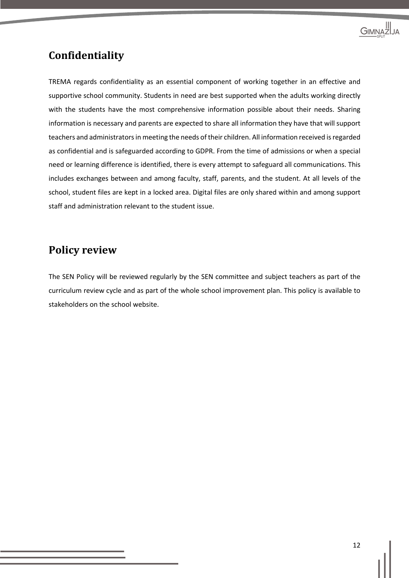

#### **Confidentiality**

TREMA regards confidentiality as an essential component of working together in an effective and supportive school community. Students in need are best supported when the adults working directly with the students have the most comprehensive information possible about their needs. Sharing information is necessary and parents are expected to share all information they have that will support teachers and administrators in meeting the needs of their children. All information received is regarded as confidential and is safeguarded according to GDPR. From the time of admissions or when a special need or learning difference is identified, there is every attempt to safeguard all communications. This includes exchanges between and among faculty, staff, parents, and the student. At all levels of the school, student files are kept in a locked area. Digital files are only shared within and among support staff and administration relevant to the student issue.

#### **Policy review**

The SEN Policy will be reviewed regularly by the SEN committee and subject teachers as part of the curriculum review cycle and as part of the whole school improvement plan. This policy is available to stakeholders on the school website.